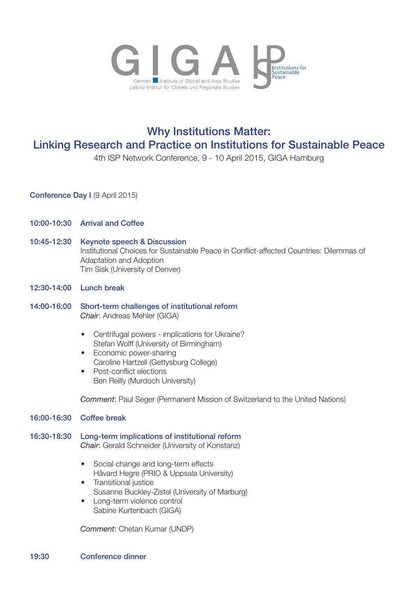

## Why Institutions Matter: Linking Research and Practice on Institutions for Sustainable Peace

4th ISP Network Conference, 9 - 10 April 2015, GIGA Hamburg

Conference Day I (9 April 2015)

- 10:00-10:30 Arrival and Coffee
- 10:45-12:30 Keynote speech & Discussion Institutional Choices for Sustainable Peace in Conflict-affected Countries: Dilemmas of Adaptation and Adoption Tim Sisk (University of Denver)
- 12:30-14:00 Lunch break
- 14:00-16:00 Short-term challenges of institutional reform  *Chair*: Andreas Mehler (GIGA)
	- Centrifugal powers implications for Ukraine? Stefan Wolff (University of Birmingham)
	- Economic power-sharing Caroline Hartzell (Gettysburg College)
	- Post-conflict elections Ben Reilly (Murdoch University)

 *Comment*: Paul Seger (Permanent Mission of Switzerland to the United Nations)

## 16:00-16:30 Coffee break

16:30-18:30 Long-term implications of institutional reform  *Chair*: Gerald Schneider (University of Konstanz)

- Social change and long-term effects Håvard Hegre (PRIO & Uppsala University)
- Transitional justice Susanne Buckley-Zistel (University of Marburg)
- Long-term violence control Sabine Kurtenbach (GIGA)

 *Comment*: Chetan Kumar (UNDP)